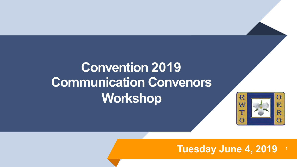# **Convention 2019 Communication Convenors Workshop**



### **Tuesday June 4, 2019 <sup>1</sup>**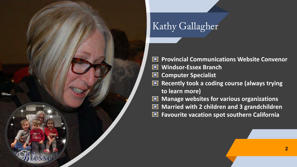

## Kathy Gallagher

图 **Provincial Communications Website Convenor Windsor-Essex Branch** 圖 **Computer Specialist**  E **Recently took a coding course (always trying to learn more) Manage websites for various organizations** E 圖 **Married with 2 children and 3 grandchildren Favourite vacation spot southern California**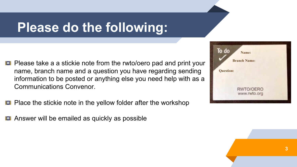# **Please do the following:**

- **Please take a a stickie note from the rwto/oero pad and print your** name, branch name and a question you have regarding sending information to be posted or anything else you need help with as a Communications Convenor.
- Place the stickie note in the yellow folder after the workshop
- Answer will be emailed as quickly as possible

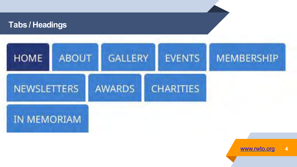

[www.rwto.org](http://www.rwto.org/) **4**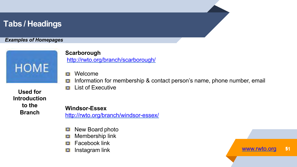#### *Examples of Homepages*



#### **Scarborough** <http://rwto.org/branch/scarborough/>

- Welcome 旧國
- Information for membership & contact person's name, phone number, email iei
- List of Executive 旧國

**Used for Introduction to the Branch**

#### **Windsor-Essex**

<http://rwto.org/branch/windsor-essex/>

- New Board photo 神話
- Membership link 請國發
- Facebook link i e li
- Instagram link is.

[www.rwto.org](http://www.rwto.org/) 51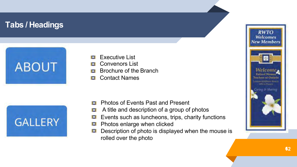



- Convenors List 自嘲舞
- Brochure of the Branch i al
- Contact Names ieš



- Photos of Events Past and Present 旧国意
- A title and description of a group of photos ls!
- Events such as luncheons, trips, charity functions ¦⊟i
- Į⊟∄ Photos enlarge when clicked
- Description of photo is displayed when the mouse is Į⊟∦ rolled over the photo

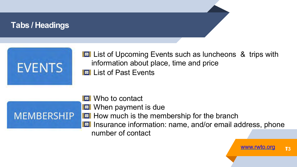

**Example 1** List of Upcoming Events such as luncheons & trips with information about place, time and price **Example 1** List of Past Events



**EX** Who to contact **EX** When payment is due **How much is the membership for the branch IFT** Insurance information: name, and/or email address, phone number of contact

[www.rwto.org](http://www.rwto.org/) 73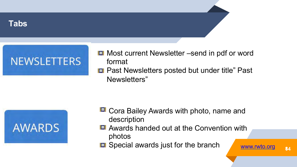



- **E** Most current Newsletter –send in pdf or word format
- **E** Past Newsletters posted but under title" Past Newsletters"



- **E** Cora Bailey Awards with photo, name and description
- **E** Awards handed out at the Convention with photos
- **B** Special awards just for the branch [www.rwto.org](http://www.rwto.org/) 34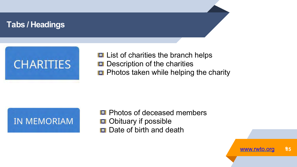

**List of charities the branch helps Description of the charities Photos taken while helping the charity** 



**E** Photos of deceased members **B** Obituary if possible **B** Date of birth and death

[www.rwto.org](http://www.rwto.org/) 95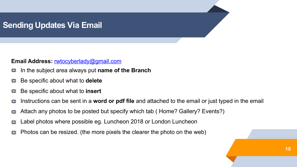### **Sending Updates Via Email**

#### **Email Address:** [rwtocyberlady@gmail.com](mailto:rwtocyberlady@gmail.com)

- In the subject area always put **name of the Branch** I⊟I
- Be specific about what to **delete** 13
- Be specific about what to **insert** i s
- Instructions can be sent in a **word or pdf file** and attached to the email or just typed in the email ▓■▓
- Attach any photos to be posted but specify which tab ( Home? Gallery? Events?) is!
- Label photos where possible eg. Luncheon 2018 or London Luncheon 調整
- Photos can be resized. (the more pixels the clearer the photo on the web) 計画番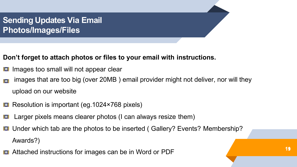**Sending Updates Via Email Photos/Images/Files**

#### **Don't forget to attach photos or files to your email with instructions.**

- Images too small will not appear clear i⊟≸
- images that are too big (over 20MB ) email provider might not deliver, nor will they upload on our website
- Resolution is important (eg.1024×768 pixels)
- Larger pixels means clearer photos (I can always resize them)
- **Under which tab are the photos to be inserted ( Gallery? Events? Membership?** Awards?)
- Attached instructions for images can be in Word or PDF **19 19**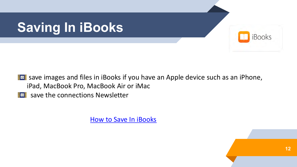

**Ext** save images and files in iBooks if you have an Apple device such as an iPhone, iPad, MacBook Pro, MacBook Air or iMac

**IFF** save the connections Newsletter

[How to Save In iBooks](https://support.apple.com/kb/ph2797?locale=en_US)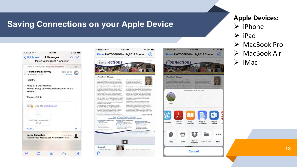#### **Saving Connections on your Apple Device**







#### **Apple Devices:**  $\triangleright$  iPhone  $\triangleright$  iPad Ø MacBook Pro Ø MacBook Air  $\triangleright$  iMac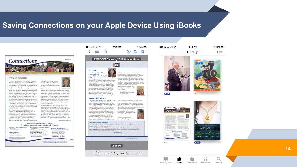#### **Saving Connections on your Apple Device Using iBooks**



looking forward to 'the passes of-

the perioding opportunities.

happening in his area.

toronicto

sharing" at the Committee during

sized datas, route, miserimes and the

This year has been a hore one for the

Board of Directors as set loss discussed and carried

out bisiness convictibisely with the Branches and the

sumbership formuse in our minds. The Board needs

to lear from the Branches when there are questions or

concerns. The Aira Brector will also being questions

and concerns to the Board Meetings for clarification.

in ferrorea. It is always beartwarming to have an

Transvisued, it some areas of the province, that

Area Director report on the expury and fundrators.

and discussion and then report took in the Branches.

annulsers are besitant in stepping up to the plate to are the power

retired has been very rescirding. There is a same that

To make yourself happy do something for someone

else and usike them happy." It tension in the position

of releaseerne sage vine to a servicely ensier), also

retirement, that happiness is personally enjoyed. I hape-

of sharing" not energies with RWTO/GERO after 1.

#### **President's Message**

The theme of this inner of Companion, "The Bisnet of Sharing," highlights the surrigib of the RWTO-OERO Branch programs within their communities Constructions to run members for their moves dutcaring and draring programs dirroughout the province.

I am fooking forward to my voice to Benaches the org-March. April and May Vision per cadice Brunch starts. I could see "the power of sharing" at work in the following agency the excitiming when ortherlyimment teachers get together for a fundativer, the togetherness silate linewing to the chatter thiring social time, the learning while buynamens an informative menker. the membership recruitment initiatives while incring retired suspense teachers to advertisers to the future that ther will because RWTO OERO members, the joy that a goodwill gestire follogs to a namder who benefits from a call, a card or a your and the dedication of all of the Branch Executive incumbers who are committed to their RNTO/OERO Branch.

Mary Branche's are encouraging their numbers. so attend the "Barrel of Fun" Convention 2019 in St. Cathorines Thank you to Marilyn Entmett: at Convention Conversor and her planning committee from Area 13, for their dedication while plasming The registration form is included in this own of Connections. The Convention Registrar will.







 $6.4$ 

Audiobooks

Search

iil

Library

Book Store

Reading Now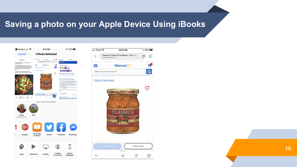### **Saving a photo on your Apple Device Using iBooks**



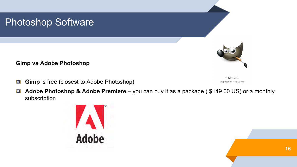### Photoshop Software

**Gimp vs Adobe Photoshop**

**Gimp** is free (closest to Adobe Photoshop) | E |

GIMP-2.10 Application - 461.2 MB

¦a j **Adobe Photoshop & Adobe Premiere** – you can buy it as a package ( \$149.00 US) or a monthly subscription

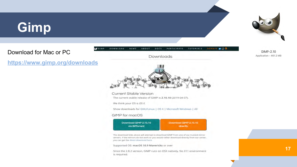# **Gimp**

Download for Mac or PC

**<https://www.gimp.org/downloads>**

GIMP

**DOWNLOAD** 

is required.

**NEWS** 

**ABOUT** 



pocs

PARTICIPATE

TUTORIALS

GIMP-2.10 Application - 461.2 MB

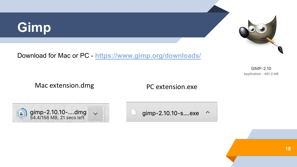# **Gimp**



Download for Mac or PC - **<https://www.gimp.org/downloads/>**

GIMP-2.10 Application - 461.2 MB

Mac extension.dmg extension.exe



gimp-2.10.10-s....exe  $\lambda$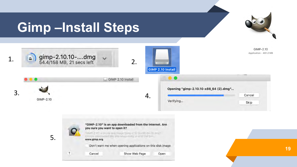# **Gimp –Install Steps**

5.



"SAIP, T.10" is on the sext make make a 10 th into the 15t mod? De the dilwibadod from the magnitudal at \$2.1 million www.gimp.org Don't warn me when opening applications on this disk image  $\overline{\mathbf{?}}$ Show Web Page Cancel Open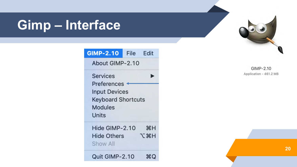# **Gimp – Interface**

| <b>GIMP-2.10</b>                                                                                                      | <b>File</b><br>Edit |  |  |  |  |  |  |
|-----------------------------------------------------------------------------------------------------------------------|---------------------|--|--|--|--|--|--|
| About GIMP-2.10                                                                                                       |                     |  |  |  |  |  |  |
| <b>Services</b><br><b>Preferences</b><br><b>Input Devices</b><br><b>Keyboard Shortcuts</b><br><b>Modules</b><br>Units |                     |  |  |  |  |  |  |
| Hide GIMP-2.10<br><b>Hide Others</b><br>Show All                                                                      | æн<br>てポH           |  |  |  |  |  |  |
| Quit GIMP-2.10                                                                                                        | жO                  |  |  |  |  |  |  |

GIMP-2.10 Application - 461.2 MB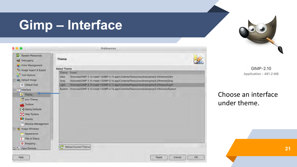# **Gimp – Interface**

|                                                                                                                                                                                                                                                                                                                   |                                                        | Preferences                                                                                                                                                                                                                                                                                                                                                                                      |    |
|-------------------------------------------------------------------------------------------------------------------------------------------------------------------------------------------------------------------------------------------------------------------------------------------------------------------|--------------------------------------------------------|--------------------------------------------------------------------------------------------------------------------------------------------------------------------------------------------------------------------------------------------------------------------------------------------------------------------------------------------------------------------------------------------------|----|
| System Resources<br>Debugging                                                                                                                                                                                                                                                                                     | Theme                                                  |                                                                                                                                                                                                                                                                                                                                                                                                  |    |
| <b>Color Management</b><br>La Image Import & Export<br>Tool Options<br>Default Image<br>Default Grid<br>盯<br>Interface<br><b>Communication</b><br>- Icon Theme<br>Toolbox<br>(7) Dialog Defaults<br>Help System<br>Display<br>Window Management<br>I'mage Windows<br>Appearance<br><b>Title &amp; Status</b><br>× | <b>Select Theme</b><br>Theme<br>Dark<br>Gray<br>Light. | Folder<br>/Volumes/GIMP 2.10 Install 1/GIMP-2.10.app/Contents/Resources/share/gimp/2.0/themes/Dark<br>/Volumes/GIMP 2.10 Install 1/GIMP-2.10.app/Contents/Resources/share/gimp/2.0/themes/Gray<br>/Volumes/GIMP 2.10 Install 1/GIMP-2.10.app/Contents/Resources/share/gimp/2.0/themes/Light<br>System /Volumes/GIMP 2.10 Install 1/GIMP-2.10.app/Contents/Resources/share/gimp/2.0/themes/System |    |
| Snapping<br><b>Input Devices</b>                                                                                                                                                                                                                                                                                  |                                                        | <b>Reload Current Theme</b>                                                                                                                                                                                                                                                                                                                                                                      |    |
| Help                                                                                                                                                                                                                                                                                                              |                                                        | Cancel<br>Reset                                                                                                                                                                                                                                                                                                                                                                                  | OK |

GIMP-2.10 Application - 461.2 MB

Choose an interface under theme.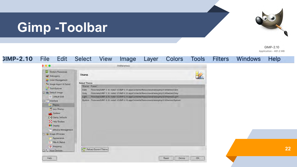# **Gimp -Toolbar**



GIMP-2.10 Application - 461.2 MB

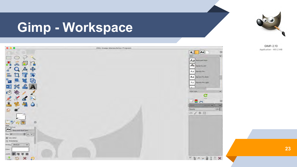# **Gimp - Workspace**



GIMP-2.10 Application - 461.2 MB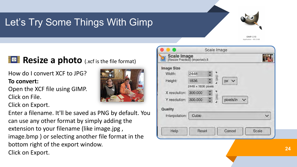### Let's Try Some Things With Gimp



### **Resize a photo** (.xcf is the file format)

How do I convert XCF to JPG? **To convert:**

Open the XCF file using GIMP. Click on File.

Click on Export.

Enter a filename. It'll be saved as PNG by default. You can use any other format by simply adding the extension to your filename (like image.jpg , image.bmp ) or selecting another file format in the bottom right of the export window. Click on Export. **<sup>24</sup>**

| 2448    |                                                        |                              |                       |       |
|---------|--------------------------------------------------------|------------------------------|-----------------------|-------|
| 1836    | 佰                                                      | px                           |                       |       |
|         |                                                        |                              |                       |       |
| 300.000 |                                                        |                              |                       |       |
| 300.000 |                                                        | pixels/in                    |                       |       |
|         |                                                        |                              |                       |       |
| Cubic   |                                                        |                              |                       |       |
|         |                                                        |                              |                       |       |
|         |                                                        |                              |                       |       |
|         | Scale Image<br>[Resize Practice] (imported)-3<br>Reset | Ω<br>2448 x 1836 pixels<br>圖 | Scale Image<br>Cancel | Scale |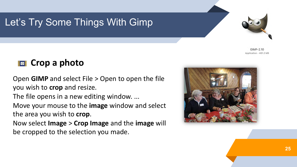### Let's Try Some Things With Gimp



GIMP-2.10 Application - 461.2 MB

### **Example 3** Crop a photo

Open **GIMP** and select File > Open to open the file you wish to **crop** and resize.

The file opens in a new editing window. ...

Move your mouse to the **image** window and select the area you wish to **crop**.

Now select **Image** > **Crop Image** and the **image** will be cropped to the selection you made.

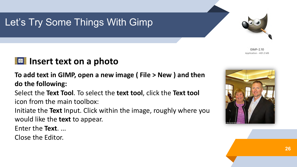### Let's Try Some Things With Gimp

### **IZE** Insert text on a photo

**To add text in GIMP, open a new image ( File > New ) and then do the following:**

Select the **Text Tool**. To select the **text tool**, click the **Text tool**  icon from the main toolbox:

Initiate the **Text** Input. Click within the image, roughly where you would like the **text** to appear.

Enter the **Text**. ...

Close the Editor.





GIMP-2.10 Application - 461.2 MB

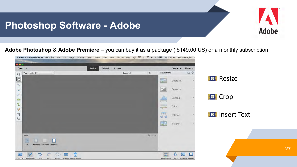### **Photoshop Software - Adobe**



**Adobe Photoshop & Adobe Premiere** – you can buy it as a package ( \$149.00 US) or a monthly subscription

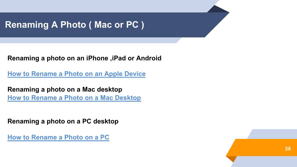### **Renaming A Photo ( Mac or PC )**

**Renaming a photo on an iPhone ,iPad or Android**

**[How to Rename a Photo on an Apple Device](https://www.tabbloidx.co/rename-photos-iphone-ipad/)**

**Renaming a photo on a Mac desktop [How to Rename a Photo on a Mac Desktop](https://www.youtube.com/watch?v=jl0T0vu2kpc)**

**Renaming a photo on a PC desktop**

**[How to Rename a Photo on a PC](https://www.youtube.com/watch?v=DmedBas8uQc)**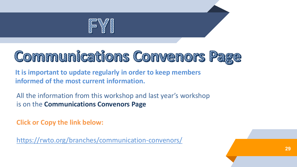

# **Communications Convenors Page**

**It is important to update regularly in order to keep members informed of the most current information.**

All the information from this workshop and last year's workshop is on the **Communications Convenors Page**

**Click or Copy the link below:**

<https://rwto.org/branches/communication-convenors/>